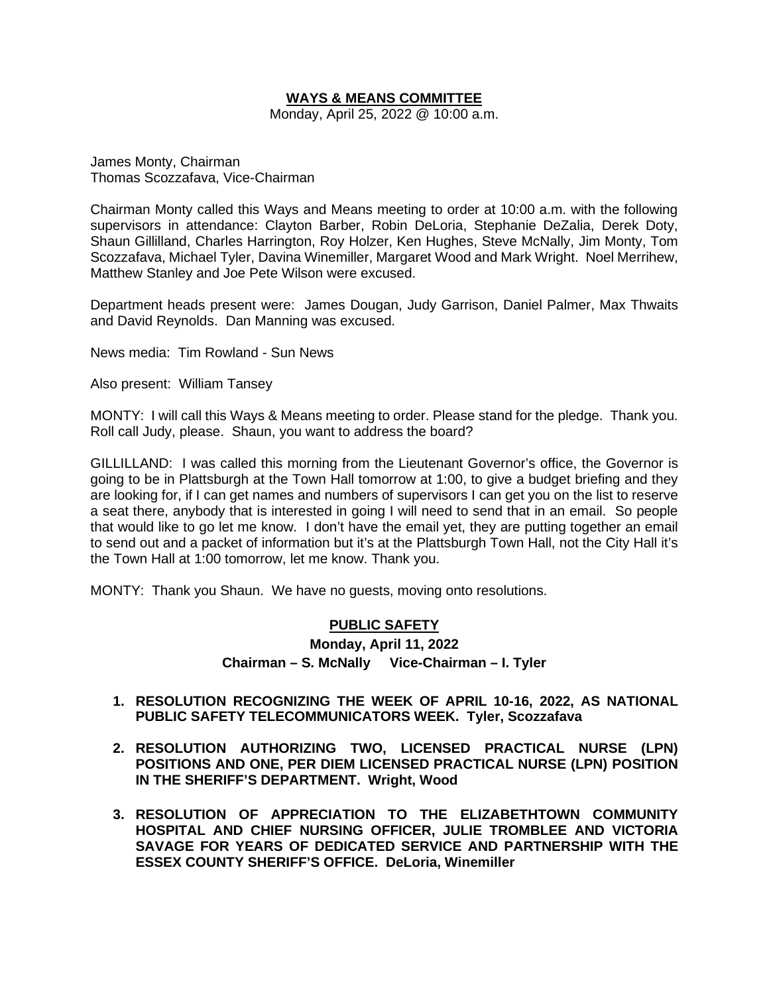# **WAYS & MEANS COMMITTEE**

Monday, April 25, 2022 @ 10:00 a.m.

James Monty, Chairman Thomas Scozzafava, Vice-Chairman

Chairman Monty called this Ways and Means meeting to order at 10:00 a.m. with the following supervisors in attendance: Clayton Barber, Robin DeLoria, Stephanie DeZalia, Derek Doty, Shaun Gillilland, Charles Harrington, Roy Holzer, Ken Hughes, Steve McNally, Jim Monty, Tom Scozzafava, Michael Tyler, Davina Winemiller, Margaret Wood and Mark Wright. Noel Merrihew, Matthew Stanley and Joe Pete Wilson were excused.

Department heads present were: James Dougan, Judy Garrison, Daniel Palmer, Max Thwaits and David Reynolds. Dan Manning was excused.

News media: Tim Rowland - Sun News

Also present: William Tansey

MONTY: I will call this Ways & Means meeting to order. Please stand for the pledge. Thank you. Roll call Judy, please. Shaun, you want to address the board?

GILLILLAND: I was called this morning from the Lieutenant Governor's office, the Governor is going to be in Plattsburgh at the Town Hall tomorrow at 1:00, to give a budget briefing and they are looking for, if I can get names and numbers of supervisors I can get you on the list to reserve a seat there, anybody that is interested in going I will need to send that in an email. So people that would like to go let me know. I don't have the email yet, they are putting together an email to send out and a packet of information but it's at the Plattsburgh Town Hall, not the City Hall it's the Town Hall at 1:00 tomorrow, let me know. Thank you.

MONTY: Thank you Shaun. We have no guests, moving onto resolutions.

# **PUBLIC SAFETY**

# **Monday, April 11, 2022 Chairman – S. McNally Vice-Chairman – I. Tyler**

- **1. RESOLUTION RECOGNIZING THE WEEK OF APRIL 10-16, 2022, AS NATIONAL PUBLIC SAFETY TELECOMMUNICATORS WEEK. Tyler, Scozzafava**
- **2. RESOLUTION AUTHORIZING TWO, LICENSED PRACTICAL NURSE (LPN) POSITIONS AND ONE, PER DIEM LICENSED PRACTICAL NURSE (LPN) POSITION IN THE SHERIFF'S DEPARTMENT. Wright, Wood**
- **3. RESOLUTION OF APPRECIATION TO THE ELIZABETHTOWN COMMUNITY HOSPITAL AND CHIEF NURSING OFFICER, JULIE TROMBLEE AND VICTORIA SAVAGE FOR YEARS OF DEDICATED SERVICE AND PARTNERSHIP WITH THE ESSEX COUNTY SHERIFF'S OFFICE. DeLoria, Winemiller**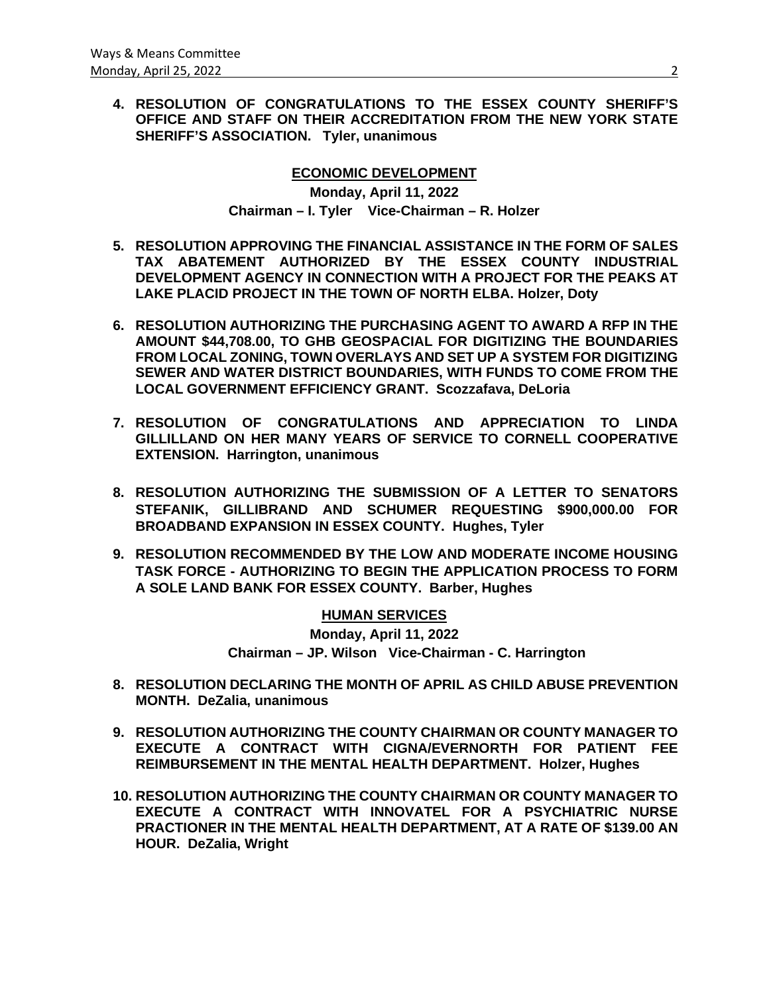**4. RESOLUTION OF CONGRATULATIONS TO THE ESSEX COUNTY SHERIFF'S OFFICE AND STAFF ON THEIR ACCREDITATION FROM THE NEW YORK STATE SHERIFF'S ASSOCIATION. Tyler, unanimous**

# **ECONOMIC DEVELOPMENT**

**Monday, April 11, 2022 Chairman – I. Tyler Vice-Chairman – R. Holzer**

- **5. RESOLUTION APPROVING THE FINANCIAL ASSISTANCE IN THE FORM OF SALES TAX ABATEMENT AUTHORIZED BY THE ESSEX COUNTY INDUSTRIAL DEVELOPMENT AGENCY IN CONNECTION WITH A PROJECT FOR THE PEAKS AT LAKE PLACID PROJECT IN THE TOWN OF NORTH ELBA. Holzer, Doty**
- **6. RESOLUTION AUTHORIZING THE PURCHASING AGENT TO AWARD A RFP IN THE AMOUNT \$44,708.00, TO GHB GEOSPACIAL FOR DIGITIZING THE BOUNDARIES FROM LOCAL ZONING, TOWN OVERLAYS AND SET UP A SYSTEM FOR DIGITIZING SEWER AND WATER DISTRICT BOUNDARIES, WITH FUNDS TO COME FROM THE LOCAL GOVERNMENT EFFICIENCY GRANT. Scozzafava, DeLoria**
- **7. RESOLUTION OF CONGRATULATIONS AND APPRECIATION TO LINDA GILLILLAND ON HER MANY YEARS OF SERVICE TO CORNELL COOPERATIVE EXTENSION. Harrington, unanimous**
- **8. RESOLUTION AUTHORIZING THE SUBMISSION OF A LETTER TO SENATORS STEFANIK, GILLIBRAND AND SCHUMER REQUESTING \$900,000.00 FOR BROADBAND EXPANSION IN ESSEX COUNTY. Hughes, Tyler**
- **9. RESOLUTION RECOMMENDED BY THE LOW AND MODERATE INCOME HOUSING TASK FORCE - AUTHORIZING TO BEGIN THE APPLICATION PROCESS TO FORM A SOLE LAND BANK FOR ESSEX COUNTY. Barber, Hughes**

**HUMAN SERVICES Monday, April 11, 2022 Chairman – JP. Wilson Vice-Chairman - C. Harrington**

- **8. RESOLUTION DECLARING THE MONTH OF APRIL AS CHILD ABUSE PREVENTION MONTH. DeZalia, unanimous**
- **9. RESOLUTION AUTHORIZING THE COUNTY CHAIRMAN OR COUNTY MANAGER TO EXECUTE A CONTRACT WITH CIGNA/EVERNORTH FOR PATIENT FEE REIMBURSEMENT IN THE MENTAL HEALTH DEPARTMENT. Holzer, Hughes**
- **10. RESOLUTION AUTHORIZING THE COUNTY CHAIRMAN OR COUNTY MANAGER TO EXECUTE A CONTRACT WITH INNOVATEL FOR A PSYCHIATRIC NURSE PRACTIONER IN THE MENTAL HEALTH DEPARTMENT, AT A RATE OF \$139.00 AN HOUR. DeZalia, Wright**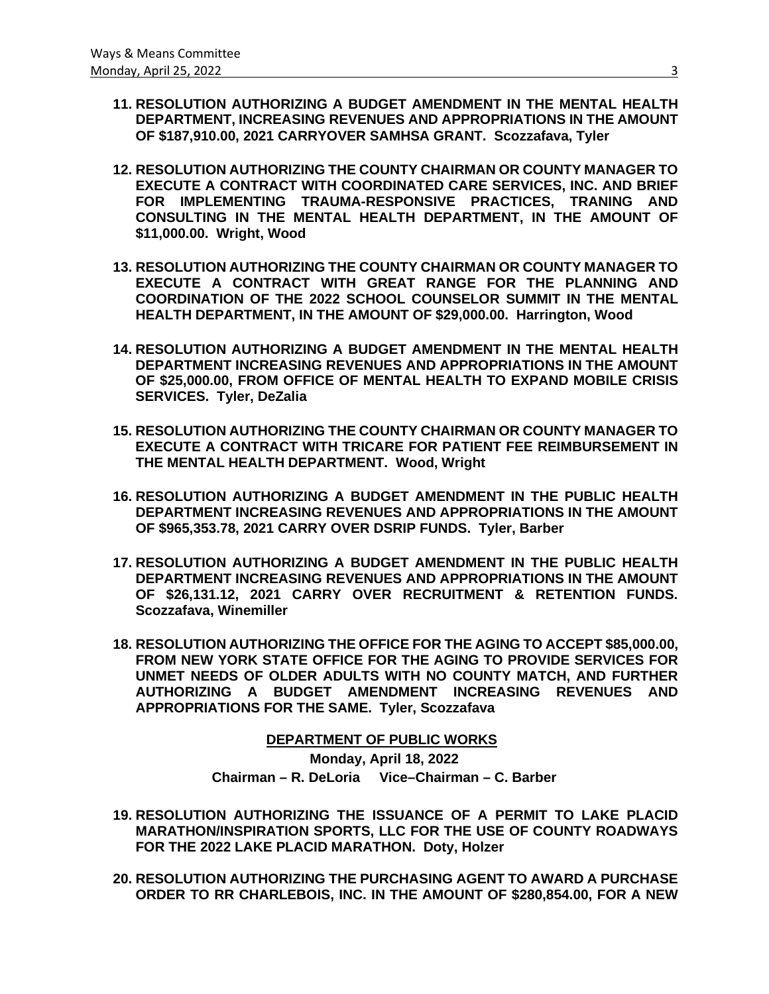- **11. RESOLUTION AUTHORIZING A BUDGET AMENDMENT IN THE MENTAL HEALTH DEPARTMENT, INCREASING REVENUES AND APPROPRIATIONS IN THE AMOUNT OF \$187,910.00, 2021 CARRYOVER SAMHSA GRANT. Scozzafava, Tyler**
- **12. RESOLUTION AUTHORIZING THE COUNTY CHAIRMAN OR COUNTY MANAGER TO EXECUTE A CONTRACT WITH COORDINATED CARE SERVICES, INC. AND BRIEF FOR IMPLEMENTING TRAUMA-RESPONSIVE PRACTICES, TRANING AND CONSULTING IN THE MENTAL HEALTH DEPARTMENT, IN THE AMOUNT OF \$11,000.00. Wright, Wood**
- **13. RESOLUTION AUTHORIZING THE COUNTY CHAIRMAN OR COUNTY MANAGER TO EXECUTE A CONTRACT WITH GREAT RANGE FOR THE PLANNING AND COORDINATION OF THE 2022 SCHOOL COUNSELOR SUMMIT IN THE MENTAL HEALTH DEPARTMENT, IN THE AMOUNT OF \$29,000.00. Harrington, Wood**
- **14. RESOLUTION AUTHORIZING A BUDGET AMENDMENT IN THE MENTAL HEALTH DEPARTMENT INCREASING REVENUES AND APPROPRIATIONS IN THE AMOUNT OF \$25,000.00, FROM OFFICE OF MENTAL HEALTH TO EXPAND MOBILE CRISIS SERVICES. Tyler, DeZalia**
- **15. RESOLUTION AUTHORIZING THE COUNTY CHAIRMAN OR COUNTY MANAGER TO EXECUTE A CONTRACT WITH TRICARE FOR PATIENT FEE REIMBURSEMENT IN THE MENTAL HEALTH DEPARTMENT. Wood, Wright**
- **16. RESOLUTION AUTHORIZING A BUDGET AMENDMENT IN THE PUBLIC HEALTH DEPARTMENT INCREASING REVENUES AND APPROPRIATIONS IN THE AMOUNT OF \$965,353.78, 2021 CARRY OVER DSRIP FUNDS. Tyler, Barber**
- **17. RESOLUTION AUTHORIZING A BUDGET AMENDMENT IN THE PUBLIC HEALTH DEPARTMENT INCREASING REVENUES AND APPROPRIATIONS IN THE AMOUNT OF \$26,131.12, 2021 CARRY OVER RECRUITMENT & RETENTION FUNDS. Scozzafava, Winemiller**
- **18. RESOLUTION AUTHORIZING THE OFFICE FOR THE AGING TO ACCEPT \$85,000.00, FROM NEW YORK STATE OFFICE FOR THE AGING TO PROVIDE SERVICES FOR UNMET NEEDS OF OLDER ADULTS WITH NO COUNTY MATCH, AND FURTHER AUTHORIZING A BUDGET AMENDMENT INCREASING REVENUES AND APPROPRIATIONS FOR THE SAME. Tyler, Scozzafava**

 **DEPARTMENT OF PUBLIC WORKS**

**Monday, April 18, 2022 Chairman – R. DeLoria Vice–Chairman – C. Barber**

- **19. RESOLUTION AUTHORIZING THE ISSUANCE OF A PERMIT TO LAKE PLACID MARATHON/INSPIRATION SPORTS, LLC FOR THE USE OF COUNTY ROADWAYS FOR THE 2022 LAKE PLACID MARATHON. Doty, Holzer**
- **20. RESOLUTION AUTHORIZING THE PURCHASING AGENT TO AWARD A PURCHASE ORDER TO RR CHARLEBOIS, INC. IN THE AMOUNT OF \$280,854.00, FOR A NEW**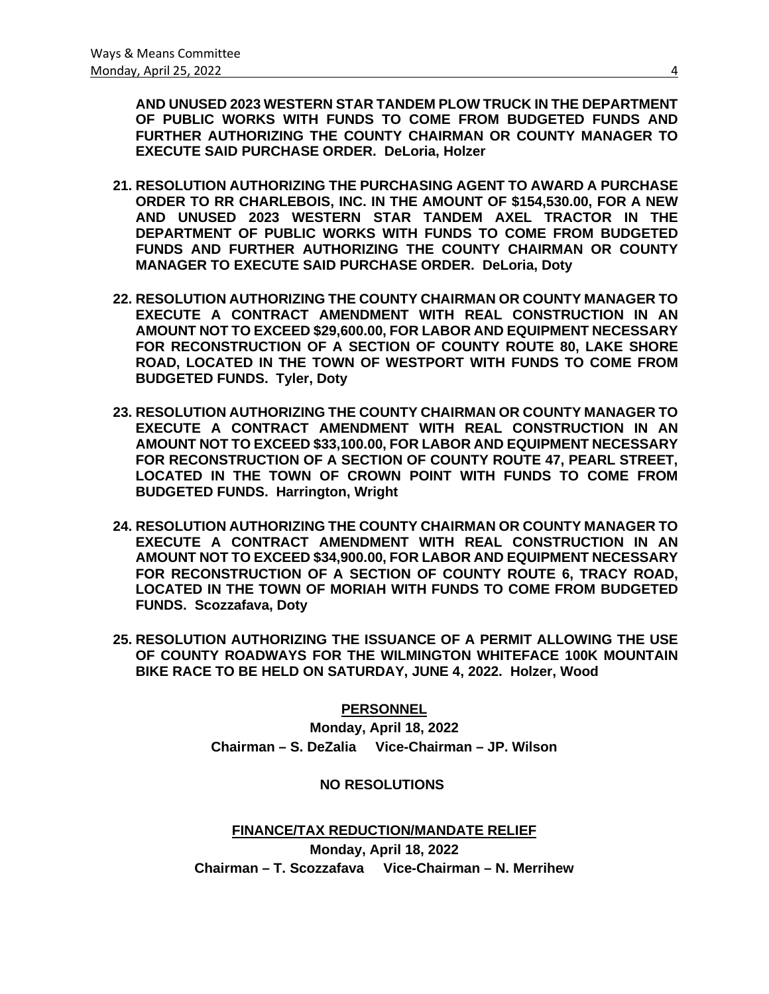**AND UNUSED 2023 WESTERN STAR TANDEM PLOW TRUCK IN THE DEPARTMENT OF PUBLIC WORKS WITH FUNDS TO COME FROM BUDGETED FUNDS AND FURTHER AUTHORIZING THE COUNTY CHAIRMAN OR COUNTY MANAGER TO EXECUTE SAID PURCHASE ORDER. DeLoria, Holzer**

- **21. RESOLUTION AUTHORIZING THE PURCHASING AGENT TO AWARD A PURCHASE ORDER TO RR CHARLEBOIS, INC. IN THE AMOUNT OF \$154,530.00, FOR A NEW AND UNUSED 2023 WESTERN STAR TANDEM AXEL TRACTOR IN THE DEPARTMENT OF PUBLIC WORKS WITH FUNDS TO COME FROM BUDGETED FUNDS AND FURTHER AUTHORIZING THE COUNTY CHAIRMAN OR COUNTY MANAGER TO EXECUTE SAID PURCHASE ORDER. DeLoria, Doty**
- **22. RESOLUTION AUTHORIZING THE COUNTY CHAIRMAN OR COUNTY MANAGER TO EXECUTE A CONTRACT AMENDMENT WITH REAL CONSTRUCTION IN AN AMOUNT NOT TO EXCEED \$29,600.00, FOR LABOR AND EQUIPMENT NECESSARY FOR RECONSTRUCTION OF A SECTION OF COUNTY ROUTE 80, LAKE SHORE ROAD, LOCATED IN THE TOWN OF WESTPORT WITH FUNDS TO COME FROM BUDGETED FUNDS. Tyler, Doty**
- **23. RESOLUTION AUTHORIZING THE COUNTY CHAIRMAN OR COUNTY MANAGER TO EXECUTE A CONTRACT AMENDMENT WITH REAL CONSTRUCTION IN AN AMOUNT NOT TO EXCEED \$33,100.00, FOR LABOR AND EQUIPMENT NECESSARY FOR RECONSTRUCTION OF A SECTION OF COUNTY ROUTE 47, PEARL STREET, LOCATED IN THE TOWN OF CROWN POINT WITH FUNDS TO COME FROM BUDGETED FUNDS. Harrington, Wright**
- **24. RESOLUTION AUTHORIZING THE COUNTY CHAIRMAN OR COUNTY MANAGER TO EXECUTE A CONTRACT AMENDMENT WITH REAL CONSTRUCTION IN AN AMOUNT NOT TO EXCEED \$34,900.00, FOR LABOR AND EQUIPMENT NECESSARY FOR RECONSTRUCTION OF A SECTION OF COUNTY ROUTE 6, TRACY ROAD, LOCATED IN THE TOWN OF MORIAH WITH FUNDS TO COME FROM BUDGETED FUNDS. Scozzafava, Doty**
- **25. RESOLUTION AUTHORIZING THE ISSUANCE OF A PERMIT ALLOWING THE USE OF COUNTY ROADWAYS FOR THE WILMINGTON WHITEFACE 100K MOUNTAIN BIKE RACE TO BE HELD ON SATURDAY, JUNE 4, 2022. Holzer, Wood**

# **PERSONNEL**

**Monday, April 18, 2022 Chairman – S. DeZalia Vice-Chairman – JP. Wilson**

### **NO RESOLUTIONS**

**FINANCE/TAX REDUCTION/MANDATE RELIEF Monday, April 18, 2022 Chairman – T. Scozzafava Vice-Chairman – N. Merrihew**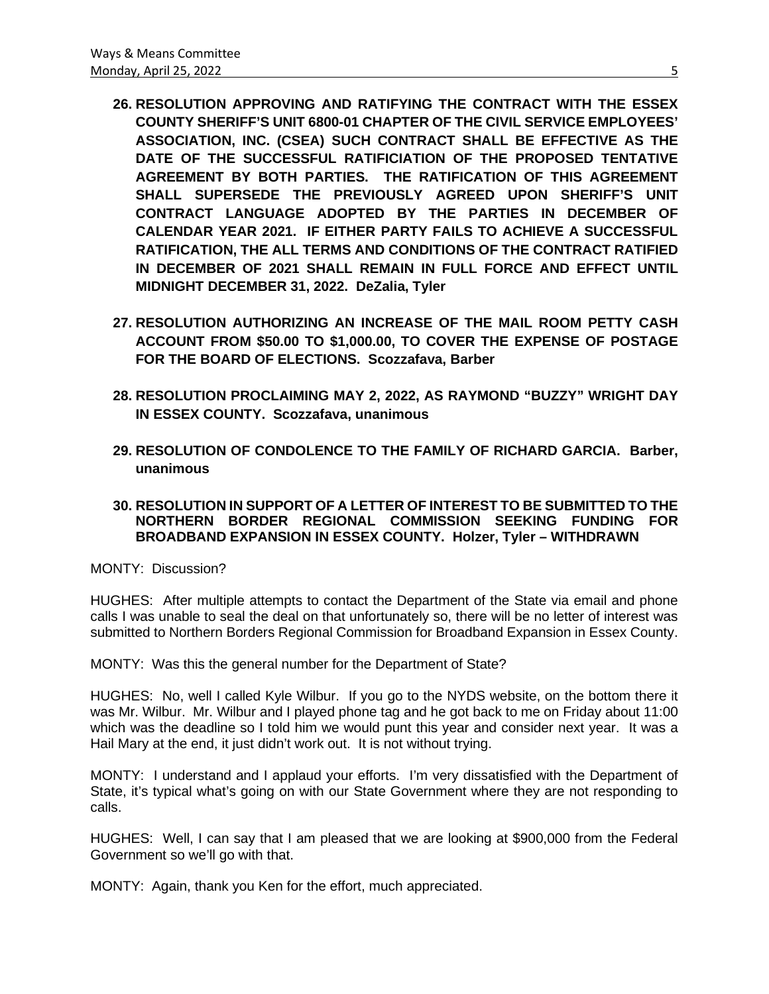- **26. RESOLUTION APPROVING AND RATIFYING THE CONTRACT WITH THE ESSEX COUNTY SHERIFF'S UNIT 6800-01 CHAPTER OF THE CIVIL SERVICE EMPLOYEES' ASSOCIATION, INC. (CSEA) SUCH CONTRACT SHALL BE EFFECTIVE AS THE DATE OF THE SUCCESSFUL RATIFICIATION OF THE PROPOSED TENTATIVE AGREEMENT BY BOTH PARTIES. THE RATIFICATION OF THIS AGREEMENT SHALL SUPERSEDE THE PREVIOUSLY AGREED UPON SHERIFF'S UNIT CONTRACT LANGUAGE ADOPTED BY THE PARTIES IN DECEMBER OF CALENDAR YEAR 2021. IF EITHER PARTY FAILS TO ACHIEVE A SUCCESSFUL RATIFICATION, THE ALL TERMS AND CONDITIONS OF THE CONTRACT RATIFIED IN DECEMBER OF 2021 SHALL REMAIN IN FULL FORCE AND EFFECT UNTIL MIDNIGHT DECEMBER 31, 2022. DeZalia, Tyler**
- **27. RESOLUTION AUTHORIZING AN INCREASE OF THE MAIL ROOM PETTY CASH ACCOUNT FROM \$50.00 TO \$1,000.00, TO COVER THE EXPENSE OF POSTAGE FOR THE BOARD OF ELECTIONS. Scozzafava, Barber**
- **28. RESOLUTION PROCLAIMING MAY 2, 2022, AS RAYMOND "BUZZY" WRIGHT DAY IN ESSEX COUNTY. Scozzafava, unanimous**
- **29. RESOLUTION OF CONDOLENCE TO THE FAMILY OF RICHARD GARCIA. Barber, unanimous**

### **30. RESOLUTION IN SUPPORT OF A LETTER OF INTEREST TO BE SUBMITTED TO THE NORTHERN BORDER REGIONAL COMMISSION SEEKING FUNDING FOR BROADBAND EXPANSION IN ESSEX COUNTY. Holzer, Tyler – WITHDRAWN**

MONTY: Discussion?

HUGHES: After multiple attempts to contact the Department of the State via email and phone calls I was unable to seal the deal on that unfortunately so, there will be no letter of interest was submitted to Northern Borders Regional Commission for Broadband Expansion in Essex County.

MONTY: Was this the general number for the Department of State?

HUGHES: No, well I called Kyle Wilbur. If you go to the NYDS website, on the bottom there it was Mr. Wilbur. Mr. Wilbur and I played phone tag and he got back to me on Friday about 11:00 which was the deadline so I told him we would punt this year and consider next year. It was a Hail Mary at the end, it just didn't work out. It is not without trying.

MONTY: I understand and I applaud your efforts. I'm very dissatisfied with the Department of State, it's typical what's going on with our State Government where they are not responding to calls.

HUGHES: Well, I can say that I am pleased that we are looking at \$900,000 from the Federal Government so we'll go with that.

MONTY: Again, thank you Ken for the effort, much appreciated.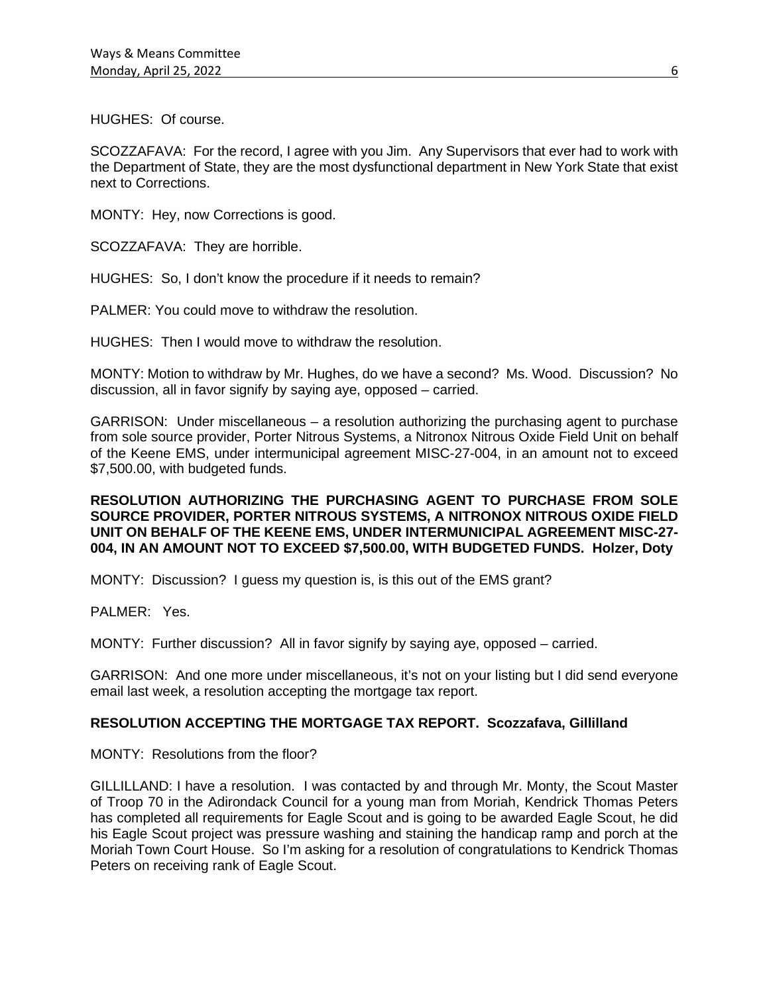HUGHES: Of course.

SCOZZAFAVA: For the record, I agree with you Jim. Any Supervisors that ever had to work with the Department of State, they are the most dysfunctional department in New York State that exist next to Corrections.

MONTY: Hey, now Corrections is good.

SCOZZAFAVA: They are horrible.

HUGHES: So, I don't know the procedure if it needs to remain?

PALMER: You could move to withdraw the resolution.

HUGHES: Then I would move to withdraw the resolution.

MONTY: Motion to withdraw by Mr. Hughes, do we have a second? Ms. Wood. Discussion? No discussion, all in favor signify by saying aye, opposed – carried.

GARRISON: Under miscellaneous – a resolution authorizing the purchasing agent to purchase from sole source provider, Porter Nitrous Systems, a Nitronox Nitrous Oxide Field Unit on behalf of the Keene EMS, under intermunicipal agreement MISC-27-004, in an amount not to exceed \$7,500.00, with budgeted funds.

### **RESOLUTION AUTHORIZING THE PURCHASING AGENT TO PURCHASE FROM SOLE SOURCE PROVIDER, PORTER NITROUS SYSTEMS, A NITRONOX NITROUS OXIDE FIELD UNIT ON BEHALF OF THE KEENE EMS, UNDER INTERMUNICIPAL AGREEMENT MISC-27- 004, IN AN AMOUNT NOT TO EXCEED \$7,500.00, WITH BUDGETED FUNDS. Holzer, Doty**

MONTY: Discussion? I guess my question is, is this out of the EMS grant?

PALMER: Yes.

MONTY: Further discussion? All in favor signify by saying aye, opposed – carried.

GARRISON: And one more under miscellaneous, it's not on your listing but I did send everyone email last week, a resolution accepting the mortgage tax report.

### **RESOLUTION ACCEPTING THE MORTGAGE TAX REPORT. Scozzafava, Gillilland**

MONTY: Resolutions from the floor?

GILLILLAND: I have a resolution. I was contacted by and through Mr. Monty, the Scout Master of Troop 70 in the Adirondack Council for a young man from Moriah, Kendrick Thomas Peters has completed all requirements for Eagle Scout and is going to be awarded Eagle Scout, he did his Eagle Scout project was pressure washing and staining the handicap ramp and porch at the Moriah Town Court House. So I'm asking for a resolution of congratulations to Kendrick Thomas Peters on receiving rank of Eagle Scout.